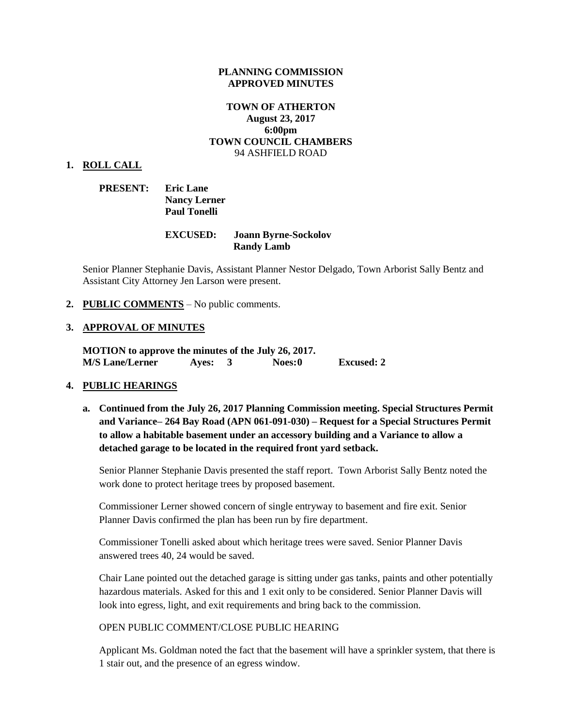#### **PLANNING COMMISSION APPROVED MINUTES**

### **TOWN OF ATHERTON August 23, 2017 6:00pm TOWN COUNCIL CHAMBERS** 94 ASHFIELD ROAD

#### **1. ROLL CALL**

| <b>PRESENT:</b> | <b>Eric Lane</b>    |
|-----------------|---------------------|
|                 | <b>Nancy Lerner</b> |
|                 | <b>Paul Tonelli</b> |

### **EXCUSED: Joann Byrne-Sockolov Randy Lamb**

Senior Planner Stephanie Davis, Assistant Planner Nestor Delgado, Town Arborist Sally Bentz and Assistant City Attorney Jen Larson were present.

#### **2. PUBLIC COMMENTS** – No public comments.

#### **3. APPROVAL OF MINUTES**

**MOTION to approve the minutes of the July 26, 2017. M/S Lane/Lerner Ayes: 3 Noes:0 Excused: 2**

#### **4. PUBLIC HEARINGS**

**a. Continued from the July 26, 2017 Planning Commission meeting. Special Structures Permit and Variance– 264 Bay Road (APN 061-091-030) – Request for a Special Structures Permit to allow a habitable basement under an accessory building and a Variance to allow a detached garage to be located in the required front yard setback.**

Senior Planner Stephanie Davis presented the staff report. Town Arborist Sally Bentz noted the work done to protect heritage trees by proposed basement.

Commissioner Lerner showed concern of single entryway to basement and fire exit. Senior Planner Davis confirmed the plan has been run by fire department.

Commissioner Tonelli asked about which heritage trees were saved. Senior Planner Davis answered trees 40, 24 would be saved.

Chair Lane pointed out the detached garage is sitting under gas tanks, paints and other potentially hazardous materials. Asked for this and 1 exit only to be considered. Senior Planner Davis will look into egress, light, and exit requirements and bring back to the commission.

#### OPEN PUBLIC COMMENT/CLOSE PUBLIC HEARING

Applicant Ms. Goldman noted the fact that the basement will have a sprinkler system, that there is 1 stair out, and the presence of an egress window.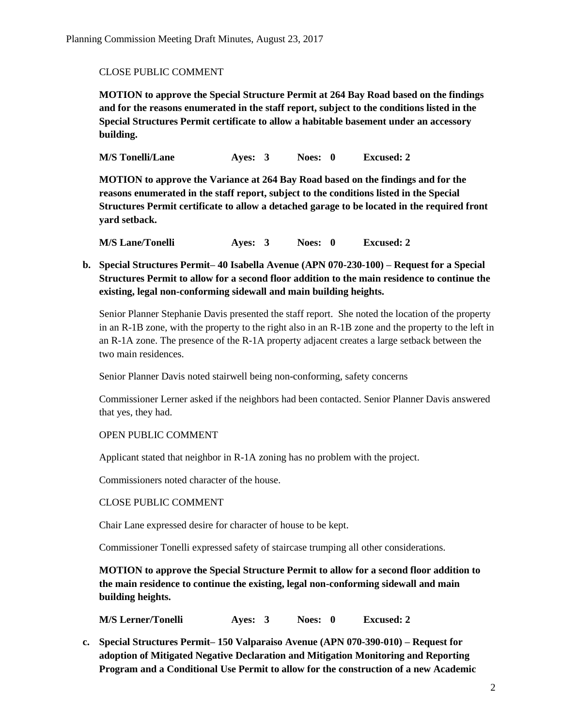### CLOSE PUBLIC COMMENT

**MOTION to approve the Special Structure Permit at 264 Bay Road based on the findings and for the reasons enumerated in the staff report, subject to the conditions listed in the Special Structures Permit certificate to allow a habitable basement under an accessory building.**

**M/S Tonelli/Lane Ayes: 3 Noes: 0 Excused: 2**

**MOTION to approve the Variance at 264 Bay Road based on the findings and for the reasons enumerated in the staff report, subject to the conditions listed in the Special Structures Permit certificate to allow a detached garage to be located in the required front yard setback.**

**M/S Lane/Tonelli Ayes: 3 Noes: 0 Excused: 2**

**b. Special Structures Permit– 40 Isabella Avenue (APN 070-230-100) – Request for a Special Structures Permit to allow for a second floor addition to the main residence to continue the existing, legal non-conforming sidewall and main building heights.** 

Senior Planner Stephanie Davis presented the staff report. She noted the location of the property in an R-1B zone, with the property to the right also in an R-1B zone and the property to the left in an R-1A zone. The presence of the R-1A property adjacent creates a large setback between the two main residences.

Senior Planner Davis noted stairwell being non-conforming, safety concerns

Commissioner Lerner asked if the neighbors had been contacted. Senior Planner Davis answered that yes, they had.

### OPEN PUBLIC COMMENT

Applicant stated that neighbor in R-1A zoning has no problem with the project.

Commissioners noted character of the house.

### CLOSE PUBLIC COMMENT

Chair Lane expressed desire for character of house to be kept.

Commissioner Tonelli expressed safety of staircase trumping all other considerations.

**MOTION to approve the Special Structure Permit to allow for a second floor addition to the main residence to continue the existing, legal non-conforming sidewall and main building heights.** 

**M/S Lerner/Tonelli Ayes: 3 Noes: 0 Excused: 2**

**c. Special Structures Permit– 150 Valparaiso Avenue (APN 070-390-010) – Request for adoption of Mitigated Negative Declaration and Mitigation Monitoring and Reporting Program and a Conditional Use Permit to allow for the construction of a new Academic**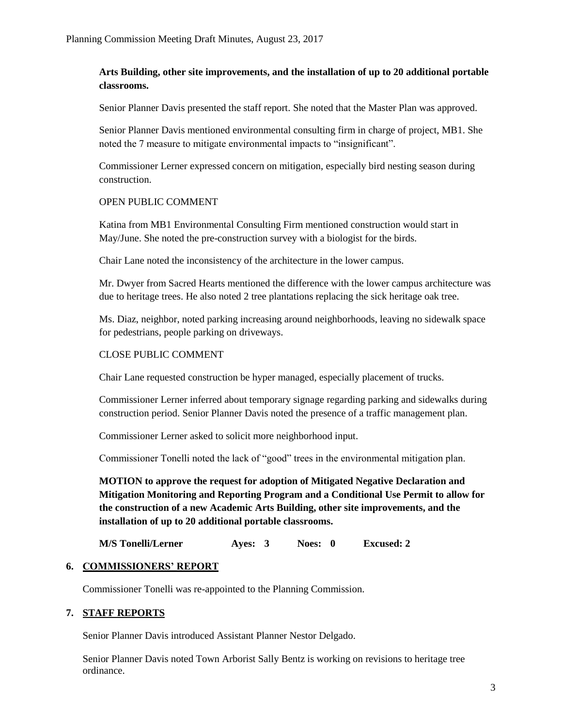# **Arts Building, other site improvements, and the installation of up to 20 additional portable classrooms.**

Senior Planner Davis presented the staff report. She noted that the Master Plan was approved.

Senior Planner Davis mentioned environmental consulting firm in charge of project, MB1. She noted the 7 measure to mitigate environmental impacts to "insignificant".

Commissioner Lerner expressed concern on mitigation, especially bird nesting season during construction.

### OPEN PUBLIC COMMENT

Katina from MB1 Environmental Consulting Firm mentioned construction would start in May/June. She noted the pre-construction survey with a biologist for the birds.

Chair Lane noted the inconsistency of the architecture in the lower campus.

Mr. Dwyer from Sacred Hearts mentioned the difference with the lower campus architecture was due to heritage trees. He also noted 2 tree plantations replacing the sick heritage oak tree.

Ms. Diaz, neighbor, noted parking increasing around neighborhoods, leaving no sidewalk space for pedestrians, people parking on driveways.

### CLOSE PUBLIC COMMENT

Chair Lane requested construction be hyper managed, especially placement of trucks.

Commissioner Lerner inferred about temporary signage regarding parking and sidewalks during construction period. Senior Planner Davis noted the presence of a traffic management plan.

Commissioner Lerner asked to solicit more neighborhood input.

Commissioner Tonelli noted the lack of "good" trees in the environmental mitigation plan.

**MOTION to approve the request for adoption of Mitigated Negative Declaration and Mitigation Monitoring and Reporting Program and a Conditional Use Permit to allow for the construction of a new Academic Arts Building, other site improvements, and the installation of up to 20 additional portable classrooms.** 

**M/S Tonelli/Lerner Ayes: 3 Noes: 0 Excused: 2**

## **6. COMMISSIONERS' REPORT**

Commissioner Tonelli was re-appointed to the Planning Commission.

### **7. STAFF REPORTS**

Senior Planner Davis introduced Assistant Planner Nestor Delgado.

Senior Planner Davis noted Town Arborist Sally Bentz is working on revisions to heritage tree ordinance.